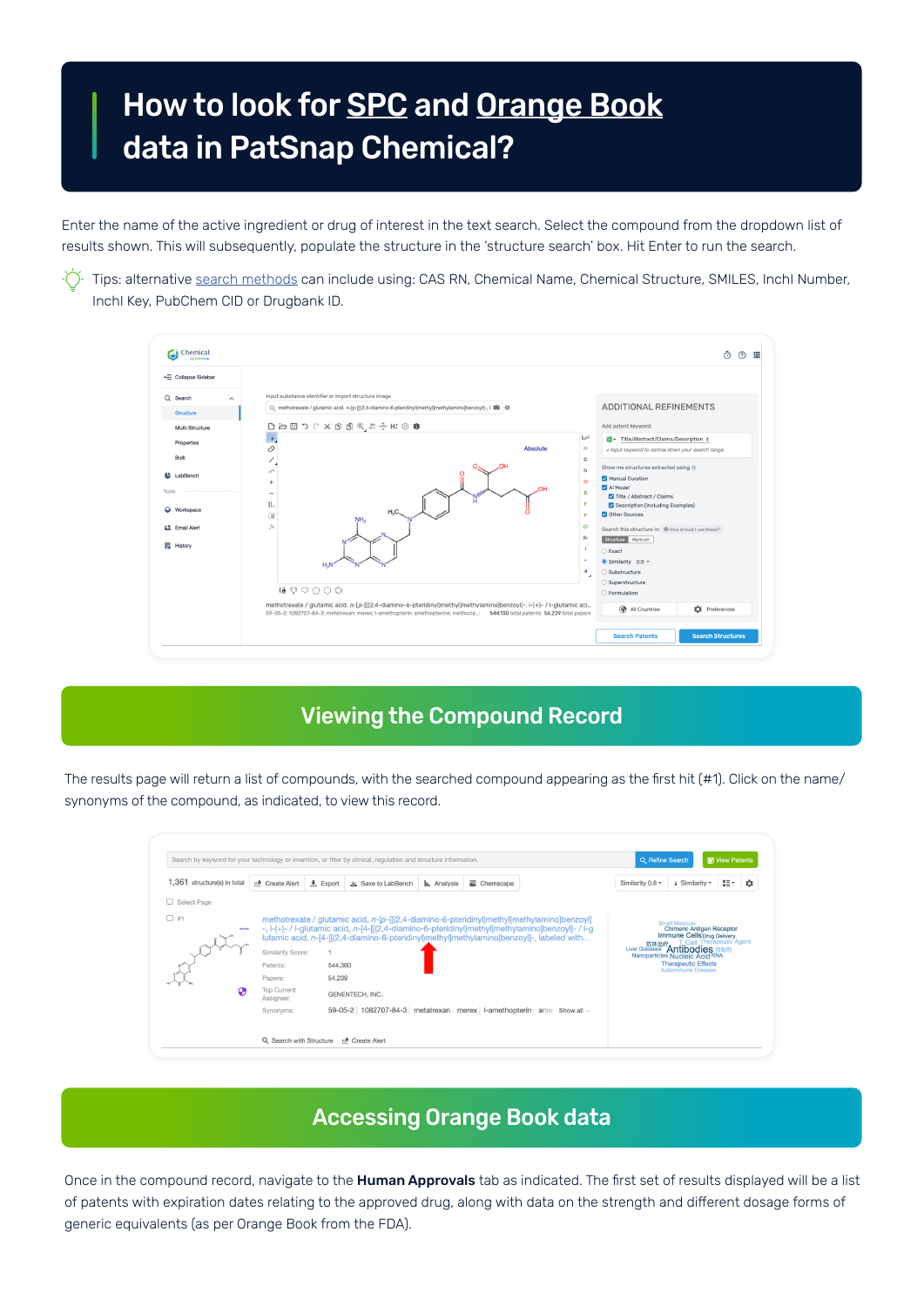## How to look for **SPC** and **[Orange Book](https://www.fda.gov/drugs/drug-approvals-and-databases/approved-drug-products-therapeutic-equivalence-evaluations-orange-book)** data in PatSnap Chemical?

Enter the name of the active ingredient or drug of interest in the text search. Select the compound from the dropdown list of results shown. This will subsequently, populate the structure in the 'structure search' box. Hit Enter to run the search.

÷Ò-Tips: alternative [search methods](https://help.patsnap.com/hc/en-us/articles/115001849909-How-to-do-a-Basic-Search-on-Patsnap-Chemical) can include using: CAS RN, Chemical Name, Chemical Structure, SMILES, InchI Number, InchI Key, PubChem CID or Drugbank ID.

| ← Collapse Sidebar                                                                                                                                                   |                                                                                                                                                                                                                                                                                                                                                                                                                                                                                                                                                                                                                                                                                 |                                                                                                                                                                                                                                                                                                                                                                                                                                                                                                                                                                                                                         |
|----------------------------------------------------------------------------------------------------------------------------------------------------------------------|---------------------------------------------------------------------------------------------------------------------------------------------------------------------------------------------------------------------------------------------------------------------------------------------------------------------------------------------------------------------------------------------------------------------------------------------------------------------------------------------------------------------------------------------------------------------------------------------------------------------------------------------------------------------------------|-------------------------------------------------------------------------------------------------------------------------------------------------------------------------------------------------------------------------------------------------------------------------------------------------------------------------------------------------------------------------------------------------------------------------------------------------------------------------------------------------------------------------------------------------------------------------------------------------------------------------|
| Q Search<br>ㅅ<br>Structure<br>Multi-Structure<br>Properties<br><b>Bulk</b><br>c<br>LabBench<br>Tools<br>۵<br>Workspace<br>E <sup>4</sup> Email Alert<br>룲<br>History | Input substance identifier or import structure image<br>BBBつぐ※66%,#+#®●<br>$\mathbb{R}$<br>$\mathcal{O}% _{M_{1},M_{2}}^{(h,\sigma),(h,\sigma)}(-\varepsilon)$<br>Absolute<br>1<br>N <sup>1</sup><br>$\ddot{}$<br>OH<br>$\overline{\phantom{a}}$<br>$\mathbf{II}$<br>$H_3C$<br>ίŘ<br>NH <sub>2</sub><br>ブ<br>H <sub>n</sub> N<br>$\blacksquare \quad \square \quad \square \quad \bigcirc \quad \bigcirc \quad \bigcirc$<br>methotrexate / glutamic acid, n-[p-[[(2,4-diamino-6-pteridinyl)methyl]methylamino]benzoyl]-, l-(+)- / l-glutamic aci<br>59-05-2; 1082707-84-3; metatrexan; merex; l-amethopterin; amethopterine; methocip 544,130 total patents 54,239 total papers | ADDITIONAL REFINEMENTS<br>Add patent keyword:<br>he <sup>d</sup><br>Title/Abstract/Claims/Description o<br>н<br>+ Input keyword to narrow down your search range<br>c<br>Show me structures extracted using @<br>N<br>Manual Curation<br>$\circ$<br>Al Model<br>s<br>Title / Abstract / Claims<br>F<br>Description (Including Examples)<br>Other Sources<br>P<br>a<br>Search this structure in: 1 How should I use these?<br>Br<br>Structure<br>Markush<br>٠<br>○ Exact<br>$\bullet$ Similarity 0.8 $\sim$<br>$A_{\mu}$<br>○ Substructure<br>○ Superstructure<br>O Formulation<br>All Countries<br><b>D</b> Preferences |

## Viewing the Compound Record

The results page will return a list of compounds, with the searched compound appearing as the first hit (#1). Click on the name/ synonyms of the compound, as indicated, to view this record.

|                       | 1,361 structure(s) in total<br>r. Create Alert | 土 Export<br>3: Save to LabBench                                                                                                                                                                                                                                                         | I <sub>I</sub> . Analysis | Chemscape | Similarity 0.8 - | + Similarity *                                                                                                                                                                                                             | 語れ | ≎ |
|-----------------------|------------------------------------------------|-----------------------------------------------------------------------------------------------------------------------------------------------------------------------------------------------------------------------------------------------------------------------------------------|---------------------------|-----------|------------------|----------------------------------------------------------------------------------------------------------------------------------------------------------------------------------------------------------------------------|----|---|
| □ Select Page         |                                                |                                                                                                                                                                                                                                                                                         |                           |           |                  |                                                                                                                                                                                                                            |    |   |
| $\Box$ #1<br>Appointe | Similarity Score:                              | methotrexate / glutamic acid, n-[p-[[(2,4-diamino-6-pteridinyl)methyl]methylamino]benzoyl]<br>-, I-(+)-/I-glutamic acid, n-[4-[[(2,4-diamino-6-pteridinyl)methyl]methylaminolbenzoyl]-/I-g<br>lutamic acid, n-[4-[[(2,4-diamino-6-pteridinyl)methyl]methylamino]benzoyl]-, labeled with |                           |           |                  | Small Molecule<br><b>Chimeric Antigen Receptor</b><br><b>Immune Cells Drug Delivery</b><br><b>Cell Therapeutic Agent</b><br><b>抗体治疗 T Cell Thera</b><br>Liver Diseases <b>Antibodies</b><br>Nanoparticles Nucleic Acid RNA |    |   |
|                       | Patents:                                       | 544,360                                                                                                                                                                                                                                                                                 |                           |           |                  | <b>Therapeutic Effects</b><br>Autoimmune Disease                                                                                                                                                                           |    |   |
|                       |                                                |                                                                                                                                                                                                                                                                                         |                           |           |                  |                                                                                                                                                                                                                            |    |   |
| ი                     | Papers:<br><b>Top Current</b><br>Assignee:     | 54,239<br>GENENTECH, INC.                                                                                                                                                                                                                                                               |                           |           |                  |                                                                                                                                                                                                                            |    |   |

## Accessing Orange Book data

Once in the compound record, navigate to the Human Approvals tab as indicated. The first set of results displayed will be a list of patents with expiration dates relating to the approved drug, along with data on the strength and different dosage forms of generic equivalents (as per Orange Book from the FDA).